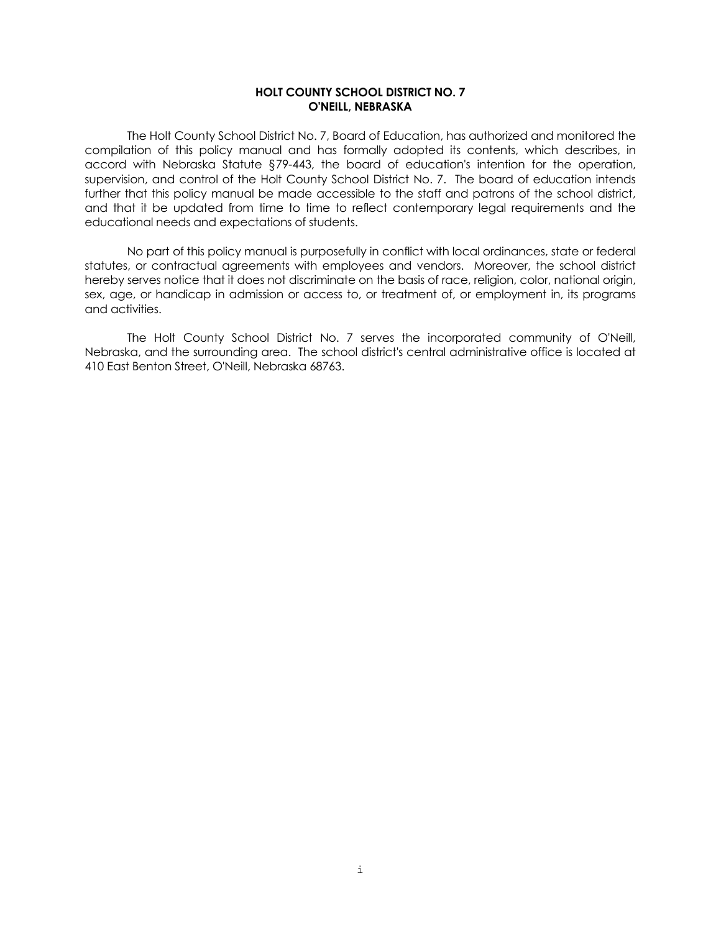## **HOLT COUNTY SCHOOL DISTRICT NO. 7 O'NEILL, NEBRASKA**

The Holt County School District No. 7, Board of Education, has authorized and monitored the compilation of this policy manual and has formally adopted its contents, which describes, in accord with Nebraska Statute §79-443, the board of education's intention for the operation, supervision, and control of the Holt County School District No. 7. The board of education intends further that this policy manual be made accessible to the staff and patrons of the school district, and that it be updated from time to time to reflect contemporary legal requirements and the educational needs and expectations of students.

No part of this policy manual is purposefully in conflict with local ordinances, state or federal statutes, or contractual agreements with employees and vendors. Moreover, the school district hereby serves notice that it does not discriminate on the basis of race, religion, color, national origin, sex, age, or handicap in admission or access to, or treatment of, or employment in, its programs and activities.

The Holt County School District No. 7 serves the incorporated community of O'Neill, Nebraska, and the surrounding area. The school district's central administrative office is located at 410 East Benton Street, O'Neill, Nebraska 68763.